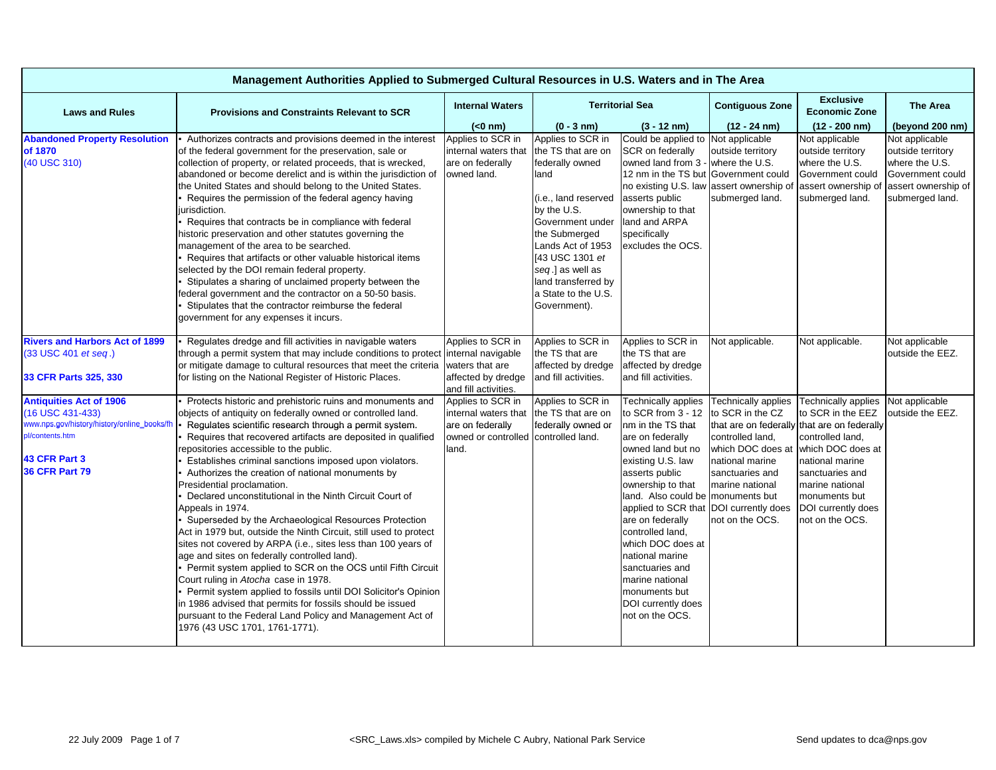| Management Authorities Applied to Submerged Cultural Resources in U.S. Waters and in The Area                                                                  |                                                                                                                                                                                                                                                                                                                                                                                                                                                                                                                                                                                                                                                                                                                                                                                                                                                                                                                                                                                                                                                                                                             |                                                                                                                |                                                                                                                                                                                                                                                                          |                                                                                                                                                                                                                                                                                                                                                                                                                                    |                                                                                                                                                                     |                                                                                                                                                                                                                                                     |                                                                                                                                         |  |  |  |
|----------------------------------------------------------------------------------------------------------------------------------------------------------------|-------------------------------------------------------------------------------------------------------------------------------------------------------------------------------------------------------------------------------------------------------------------------------------------------------------------------------------------------------------------------------------------------------------------------------------------------------------------------------------------------------------------------------------------------------------------------------------------------------------------------------------------------------------------------------------------------------------------------------------------------------------------------------------------------------------------------------------------------------------------------------------------------------------------------------------------------------------------------------------------------------------------------------------------------------------------------------------------------------------|----------------------------------------------------------------------------------------------------------------|--------------------------------------------------------------------------------------------------------------------------------------------------------------------------------------------------------------------------------------------------------------------------|------------------------------------------------------------------------------------------------------------------------------------------------------------------------------------------------------------------------------------------------------------------------------------------------------------------------------------------------------------------------------------------------------------------------------------|---------------------------------------------------------------------------------------------------------------------------------------------------------------------|-----------------------------------------------------------------------------------------------------------------------------------------------------------------------------------------------------------------------------------------------------|-----------------------------------------------------------------------------------------------------------------------------------------|--|--|--|
| <b>Laws and Rules</b>                                                                                                                                          | <b>Provisions and Constraints Relevant to SCR</b>                                                                                                                                                                                                                                                                                                                                                                                                                                                                                                                                                                                                                                                                                                                                                                                                                                                                                                                                                                                                                                                           | <b>Internal Waters</b>                                                                                         |                                                                                                                                                                                                                                                                          | <b>Territorial Sea</b>                                                                                                                                                                                                                                                                                                                                                                                                             | <b>Contiguous Zone</b>                                                                                                                                              | <b>Exclusive</b><br><b>Economic Zone</b>                                                                                                                                                                                                            | <b>The Area</b>                                                                                                                         |  |  |  |
|                                                                                                                                                                |                                                                                                                                                                                                                                                                                                                                                                                                                                                                                                                                                                                                                                                                                                                                                                                                                                                                                                                                                                                                                                                                                                             | $(0 \text{ nm})$                                                                                               | $(0 - 3 nm)$                                                                                                                                                                                                                                                             | $(3 - 12 \text{ nm})$                                                                                                                                                                                                                                                                                                                                                                                                              | $(12 - 24)$ nm)                                                                                                                                                     | $(12 - 200)$ nm)                                                                                                                                                                                                                                    | (beyond 200 nm)                                                                                                                         |  |  |  |
| <b>Abandoned Property Resolution</b><br>of 1870<br>(40 USC 310)                                                                                                | Authorizes contracts and provisions deemed in the interest<br>of the federal government for the preservation, sale or<br>collection of property, or related proceeds, that is wrecked,<br>abandoned or become derelict and is within the jurisdiction of<br>the United States and should belong to the United States.<br>Requires the permission of the federal agency having<br>jurisdiction.<br>Requires that contracts be in compliance with federal<br>historic preservation and other statutes governing the<br>management of the area to be searched.<br>Requires that artifacts or other valuable historical items<br>selected by the DOI remain federal property.<br>Stipulates a sharing of unclaimed property between the<br>federal government and the contractor on a 50-50 basis.<br>Stipulates that the contractor reimburse the federal<br>government for any expenses it incurs.                                                                                                                                                                                                            | Applies to SCR in<br>internal waters that<br>are on federally<br>owned land.                                   | Applies to SCR in<br>the TS that are on<br>federally owned<br>land<br>(i.e., land reserved<br>by the U.S.<br>Government under<br>the Submerged<br>Lands Act of 1953<br>[43 USC 1301 et<br>seg.] as well as<br>land transferred by<br>a State to the U.S.<br>Government). | Could be applied to<br>SCR on federally<br>owned land from 3 -<br>12 nm in the TS but Government could<br>no existing U.S. law<br>asserts public<br>ownership to that<br>land and ARPA<br>specifically<br>excludes the OCS.                                                                                                                                                                                                        | Not applicable<br>outside territory<br>where the U.S.<br>assert ownership of<br>submerged land.                                                                     | Not applicable<br>outside territory<br>where the U.S.<br>Government could<br>submerged land.                                                                                                                                                        | Not applicable<br>outside territory<br>where the U.S.<br>Government could<br>assert ownership of assert ownership of<br>submerged land. |  |  |  |
| <b>Rivers and Harbors Act of 1899</b><br>(33 USC 401 et seq.)<br>33 CFR Parts 325, 330                                                                         | Regulates dredge and fill activities in navigable waters<br>through a permit system that may include conditions to protect internal navigable<br>or mitigate damage to cultural resources that meet the criteria<br>for listing on the National Register of Historic Places.                                                                                                                                                                                                                                                                                                                                                                                                                                                                                                                                                                                                                                                                                                                                                                                                                                | Applies to SCR in<br>waters that are<br>affected by dredge<br>and fill activities.                             | Applies to SCR in<br>the TS that are<br>affected by dredge<br>and fill activities.                                                                                                                                                                                       | Applies to SCR in<br>the TS that are<br>affected by dredge<br>and fill activities.                                                                                                                                                                                                                                                                                                                                                 | Not applicable.                                                                                                                                                     | Not applicable.                                                                                                                                                                                                                                     | Not applicable<br>outside the EEZ.                                                                                                      |  |  |  |
| <b>Antiquities Act of 1906</b><br>(16 USC 431-433)<br>www.nps.gov/history/history/online_books/fh<br>pl/contents.htm<br>43 CFR Part 3<br><b>36 CFR Part 79</b> | Protects historic and prehistoric ruins and monuments and<br>objects of antiquity on federally owned or controlled land.<br>Regulates scientific research through a permit system.<br>Requires that recovered artifacts are deposited in qualified<br>repositories accessible to the public.<br>Establishes criminal sanctions imposed upon violators.<br>Authorizes the creation of national monuments by<br>Presidential proclamation.<br>Declared unconstitutional in the Ninth Circuit Court of<br>Appeals in 1974.<br>Superseded by the Archaeological Resources Protection<br>Act in 1979 but, outside the Ninth Circuit, still used to protect<br>sites not covered by ARPA (i.e., sites less than 100 years of<br>age and sites on federally controlled land).<br>Permit system applied to SCR on the OCS until Fifth Circuit<br>Court ruling in Atocha case in 1978.<br>Permit system applied to fossils until DOI Solicitor's Opinion<br>in 1986 advised that permits for fossils should be issued<br>pursuant to the Federal Land Policy and Management Act of<br>1976 (43 USC 1701, 1761-1771). | Applies to SCR in<br>internal waters that<br>are on federally<br>owned or controlled controlled land.<br>land. | Applies to SCR in<br>the TS that are on<br>federally owned or                                                                                                                                                                                                            | Technically applies<br>to SCR from 3 - 12<br>nm in the TS that<br>are on federally<br>owned land but no<br>existing U.S. law<br>asserts public<br>ownership to that<br>land. Also could be monuments but<br>applied to SCR that DOI currently does<br>are on federally<br>controlled land,<br>which DOC does at<br>national marine<br>sanctuaries and<br>marine national<br>monuments but<br>DOI currently does<br>not on the OCS. | <b>Technically applies</b><br>to SCR in the CZ<br>controlled land.<br>which DOC does at<br>national marine<br>sanctuaries and<br>marine national<br>not on the OCS. | Technically applies<br>to SCR in the EEZ<br>that are on federally that are on federally<br>controlled land,<br>which DOC does at<br>national marine<br>sanctuaries and<br>marine national<br>monuments but<br>DOI currently does<br>not on the OCS. | Not applicable<br>outside the EEZ.                                                                                                      |  |  |  |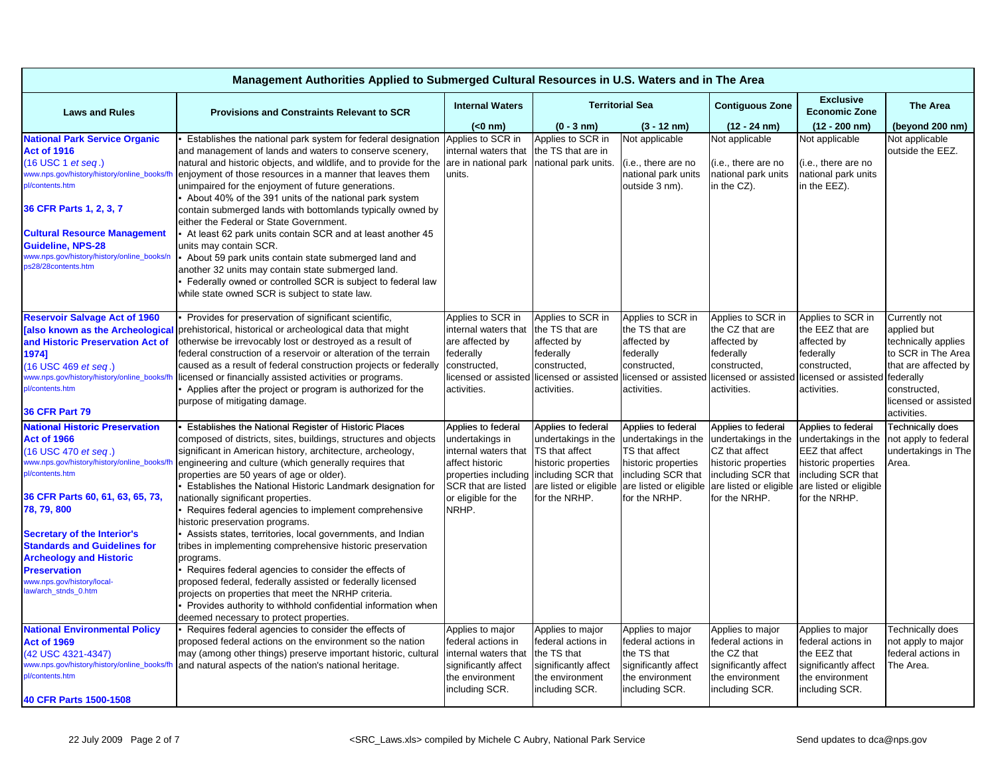| Management Authorities Applied to Submerged Cultural Resources in U.S. Waters and in The Area                                                                                                                                                                                                                                                                                                        |                                                                                                                                                                                                                                                                                                                                                                                                                                                                                                                                                                                                                                                                                                                                                                                                                                                                                                                              |                                                                                                                                                                        |                                                                                                                                                     |                                                                                                                                                     |                                                                                                                                                     |                                                                                                                                                      |                                                                                                                                                                       |  |  |
|------------------------------------------------------------------------------------------------------------------------------------------------------------------------------------------------------------------------------------------------------------------------------------------------------------------------------------------------------------------------------------------------------|------------------------------------------------------------------------------------------------------------------------------------------------------------------------------------------------------------------------------------------------------------------------------------------------------------------------------------------------------------------------------------------------------------------------------------------------------------------------------------------------------------------------------------------------------------------------------------------------------------------------------------------------------------------------------------------------------------------------------------------------------------------------------------------------------------------------------------------------------------------------------------------------------------------------------|------------------------------------------------------------------------------------------------------------------------------------------------------------------------|-----------------------------------------------------------------------------------------------------------------------------------------------------|-----------------------------------------------------------------------------------------------------------------------------------------------------|-----------------------------------------------------------------------------------------------------------------------------------------------------|------------------------------------------------------------------------------------------------------------------------------------------------------|-----------------------------------------------------------------------------------------------------------------------------------------------------------------------|--|--|
| <b>Laws and Rules</b>                                                                                                                                                                                                                                                                                                                                                                                | <b>Provisions and Constraints Relevant to SCR</b>                                                                                                                                                                                                                                                                                                                                                                                                                                                                                                                                                                                                                                                                                                                                                                                                                                                                            | <b>Internal Waters</b>                                                                                                                                                 |                                                                                                                                                     | <b>Territorial Sea</b>                                                                                                                              |                                                                                                                                                     | <b>Exclusive</b><br><b>Economic Zone</b>                                                                                                             | <b>The Area</b>                                                                                                                                                       |  |  |
|                                                                                                                                                                                                                                                                                                                                                                                                      |                                                                                                                                                                                                                                                                                                                                                                                                                                                                                                                                                                                                                                                                                                                                                                                                                                                                                                                              | $(0 \text{ nm})$                                                                                                                                                       | $(0 - 3 nm)$                                                                                                                                        | $(3 - 12 nm)$                                                                                                                                       | $(12 - 24)$ nm)                                                                                                                                     | $(12 - 200)$ nm)                                                                                                                                     | (beyond 200 nm)                                                                                                                                                       |  |  |
| <b>National Park Service Organic</b><br><b>Act of 1916</b><br>(16 USC 1 et seq.)<br>www.nps.gov/history/history/online_books/fl<br>pl/contents.htm<br>36 CFR Parts 1, 2, 3, 7                                                                                                                                                                                                                        | Establishes the national park system for federal designation<br>and management of lands and waters to conserve scenery,<br>natural and historic objects, and wildlife, and to provide for the are in national park<br>enjoyment of those resources in a manner that leaves them<br>unimpaired for the enjoyment of future generations.<br>About 40% of the 391 units of the national park system<br>contain submerged lands with bottomlands typically owned by<br>either the Federal or State Government.                                                                                                                                                                                                                                                                                                                                                                                                                   | Applies to SCR in<br>internal waters that<br>units.                                                                                                                    | Applies to SCR in<br>the TS that are in<br>national park units.                                                                                     | Not applicable<br>(i.e., there are no<br>national park units<br>outside 3 nm).                                                                      | Not applicable<br>(i.e., there are no<br>national park units<br>in the CZ).                                                                         | Not applicable<br>(i.e., there are no<br>national park units<br>in the EEZ).                                                                         | Not applicable<br>outside the EEZ.                                                                                                                                    |  |  |
| <b>Cultural Resource Management</b><br><b>Guideline, NPS-28</b><br>www.nps.gov/history/history/online_books/n<br>ps28/28contents.htm                                                                                                                                                                                                                                                                 | At least 62 park units contain SCR and at least another 45<br>units may contain SCR.<br>About 59 park units contain state submerged land and<br>another 32 units may contain state submerged land.<br>Federally owned or controlled SCR is subject to federal law<br>while state owned SCR is subject to state law.                                                                                                                                                                                                                                                                                                                                                                                                                                                                                                                                                                                                          |                                                                                                                                                                        |                                                                                                                                                     |                                                                                                                                                     |                                                                                                                                                     |                                                                                                                                                      |                                                                                                                                                                       |  |  |
| <b>Reservoir Salvage Act of 1960</b><br><b>[also known as the Archeological</b><br>and Historic Preservation Act of<br>1974]<br>(16 USC 469 et seq.)<br>www.nps.gov/history/history/online_books/fh<br>pl/contents.htm<br><b>36 CFR Part 79</b>                                                                                                                                                      | Provides for preservation of significant scientific,<br>prehistorical, historical or archeological data that might<br>otherwise be irrevocably lost or destroyed as a result of<br>federal construction of a reservoir or alteration of the terrain<br>caused as a result of federal construction projects or federally<br>licensed or financially assisted activities or programs.<br>Applies after the project or program is authorized for the<br>purpose of mitigating damage.                                                                                                                                                                                                                                                                                                                                                                                                                                           | Applies to SCR in<br>internal waters that<br>are affected by<br>federally<br>constructed,<br>licensed or assisted licensed or assisted<br>activities.                  | Applies to SCR in<br>the TS that are<br>affected by<br>federally<br>constructed,<br>activities.                                                     | Applies to SCR in<br>the TS that are<br>affected by<br>federally<br>constructed,<br>licensed or assisted<br>activities.                             | Applies to SCR in<br>the CZ that are<br>affected by<br>federally<br>constructed,<br>licensed or assisted<br>activities.                             | Applies to SCR in<br>the EEZ that are<br>affected by<br>federally<br>constructed,<br>licensed or assisted<br>activities.                             | Currently not<br>applied but<br>technically applies<br>to SCR in The Area<br>that are affected by<br>federally<br>constructed,<br>licensed or assisted<br>activities. |  |  |
| <b>National Historic Preservation</b><br><b>Act of 1966</b><br>(16 USC 470 et seq.)<br>www.nps.gov/history/history/online_books/fh<br>pl/contents.htm<br>36 CFR Parts 60, 61, 63, 65, 73,<br>78, 79, 800<br><b>Secretary of the Interior's</b><br><b>Standards and Guidelines for</b><br><b>Archeology and Historic</b><br><b>Preservation</b><br>www.nps.gov/history/local-<br>law/arch_stnds_0.htm | Establishes the National Register of Historic Places<br>composed of districts, sites, buildings, structures and objects<br>significant in American history, architecture, archeology,<br>engineering and culture (which generally requires that<br>properties are 50 years of age or older).<br>Establishes the National Historic Landmark designation for<br>nationally significant properties.<br>Requires federal agencies to implement comprehensive<br>historic preservation programs.<br>Assists states, territories, local governments, and Indian<br>tribes in implementing comprehensive historic preservation<br>programs.<br>Requires federal agencies to consider the effects of<br>proposed federal, federally assisted or federally licensed<br>projects on properties that meet the NRHP criteria.<br>Provides authority to withhold confidential information when<br>deemed necessary to protect properties. | Applies to federal<br>undertakings in<br>internal waters that<br>affect historic<br>properties including<br><b>SCR</b> that are listed<br>or eligible for the<br>NRHP. | Applies to federal<br>undertakings in the<br>TS that affect<br>historic properties<br>including SCR that<br>are listed or eligible<br>for the NRHP. | Applies to federal<br>undertakings in the<br>TS that affect<br>historic properties<br>including SCR that<br>are listed or eligible<br>for the NRHP. | Applies to federal<br>undertakings in the<br>CZ that affect<br>historic properties<br>including SCR that<br>are listed or eligible<br>for the NRHP. | Applies to federal<br>undertakings in the<br>EEZ that affect<br>historic properties<br>including SCR that<br>are listed or eligible<br>for the NRHP. | Technically does<br>not apply to federal<br>undertakings in The<br>Area.                                                                                              |  |  |
| <b>National Environmental Policy</b><br><b>Act of 1969</b><br>(42 USC 4321-4347)<br>www.nps.gov/history/history/online_books/fh<br>pl/contents.htm<br>40 CFR Parts 1500-1508                                                                                                                                                                                                                         | Requires federal agencies to consider the effects of<br>proposed federal actions on the environment so the nation<br>may (among other things) preserve important historic, cultural<br>and natural aspects of the nation's national heritage.                                                                                                                                                                                                                                                                                                                                                                                                                                                                                                                                                                                                                                                                                | Applies to major<br>federal actions in<br>internal waters that<br>significantly affect<br>the environment<br>including SCR.                                            | Applies to major<br>federal actions in<br>the TS that<br>significantly affect<br>the environment<br>including SCR.                                  | Applies to major<br>federal actions in<br>the TS that<br>significantly affect<br>the environment<br>including SCR.                                  | Applies to major<br>federal actions in<br>the CZ that<br>significantly affect<br>the environment<br>including SCR.                                  | Applies to major<br>federal actions in<br>the EEZ that<br>significantly affect<br>the environment<br>including SCR.                                  | Technically does<br>not apply to major<br>federal actions in<br>The Area.                                                                                             |  |  |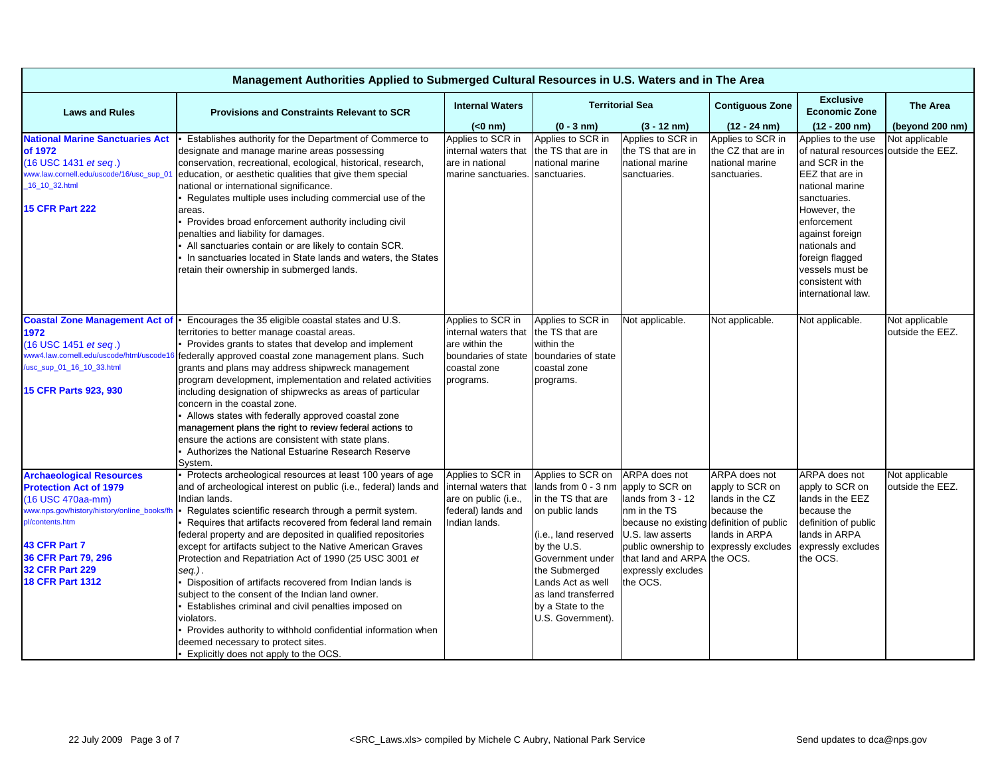| Management Authorities Applied to Submerged Cultural Resources in U.S. Waters and in The Area |                                                                                                               |                        |                        |                                          |                        |                                          |                  |  |  |
|-----------------------------------------------------------------------------------------------|---------------------------------------------------------------------------------------------------------------|------------------------|------------------------|------------------------------------------|------------------------|------------------------------------------|------------------|--|--|
| <b>Laws and Rules</b>                                                                         | <b>Provisions and Constraints Relevant to SCR</b>                                                             | <b>Internal Waters</b> | <b>Territorial Sea</b> |                                          | <b>Contiguous Zone</b> | <b>Exclusive</b><br><b>Economic Zone</b> | <b>The Area</b>  |  |  |
|                                                                                               |                                                                                                               | $(0 \text{ nm})$       | $(0 - 3 nm)$           | $(3 - 12 \text{ nm})$                    | $(12 - 24)$ nm)        | $(12 - 200)$ nm)                         | (beyond 200 nm)  |  |  |
| <b>National Marine Sanctuaries Act</b>                                                        | Establishes authority for the Department of Commerce to                                                       | Applies to SCR in      | Applies to SCR in      | Applies to SCR in                        | Applies to SCR in      | Applies to the use                       | Not applicable   |  |  |
| of 1972                                                                                       | designate and manage marine areas possessing                                                                  | internal waters that   | the TS that are in     | the TS that are in                       | the CZ that are in     | of natural resources                     | outside the EEZ. |  |  |
| (16 USC 1431 et seq.)                                                                         | conservation, recreational, ecological, historical, research,                                                 | are in national        | national marine        | national marine                          | national marine        | and SCR in the                           |                  |  |  |
| www.law.cornell.edu/uscode/16/usc_sup_01                                                      | education, or aesthetic qualities that give them special                                                      | marine sanctuaries.    | sanctuaries.           | sanctuaries.                             | sanctuaries.           | EEZ that are in                          |                  |  |  |
| 16_10_32.html                                                                                 | national or international significance.                                                                       |                        |                        |                                          |                        | national marine                          |                  |  |  |
|                                                                                               | Regulates multiple uses including commercial use of the                                                       |                        |                        |                                          |                        | sanctuaries.                             |                  |  |  |
| <b>15 CFR Part 222</b>                                                                        | areas.                                                                                                        |                        |                        |                                          |                        | However, the                             |                  |  |  |
|                                                                                               | Provides broad enforcement authority including civil                                                          |                        |                        |                                          |                        | enforcement                              |                  |  |  |
|                                                                                               | penalties and liability for damages.                                                                          |                        |                        |                                          |                        | against foreign                          |                  |  |  |
|                                                                                               | All sanctuaries contain or are likely to contain SCR.                                                         |                        |                        |                                          |                        | nationals and                            |                  |  |  |
|                                                                                               | In sanctuaries located in State lands and waters, the States                                                  |                        |                        |                                          |                        | foreign flagged                          |                  |  |  |
|                                                                                               | retain their ownership in submerged lands.                                                                    |                        |                        |                                          |                        | vessels must be                          |                  |  |  |
|                                                                                               |                                                                                                               |                        |                        |                                          |                        | consistent with                          |                  |  |  |
|                                                                                               |                                                                                                               |                        |                        |                                          |                        | international law.                       |                  |  |  |
|                                                                                               |                                                                                                               |                        |                        |                                          |                        |                                          |                  |  |  |
| <b>Coastal Zone Management Act of</b>                                                         | - Encourages the 35 eligible coastal states and U.S.                                                          | Applies to SCR in      | Applies to SCR in      | Not applicable.                          | Not applicable.        | Not applicable.                          | Not applicable   |  |  |
| 1972                                                                                          | territories to better manage coastal areas.                                                                   | internal waters that   | the TS that are        |                                          |                        |                                          | outside the EEZ. |  |  |
| (16 USC 1451 <i>et seq.</i> )                                                                 | Provides grants to states that develop and implement                                                          | are within the         | within the             |                                          |                        |                                          |                  |  |  |
| www4.law.cornell.edu/uscode/html/uscode16                                                     | federally approved coastal zone management plans. Such                                                        | boundaries of state    | boundaries of state    |                                          |                        |                                          |                  |  |  |
| /usc_sup_01_16_10_33.html                                                                     | grants and plans may address shipwreck management                                                             | coastal zone           | coastal zone           |                                          |                        |                                          |                  |  |  |
| 15 CFR Parts 923, 930                                                                         | program development, implementation and related activities                                                    | programs.              | programs.              |                                          |                        |                                          |                  |  |  |
|                                                                                               | including designation of shipwrecks as areas of particular                                                    |                        |                        |                                          |                        |                                          |                  |  |  |
|                                                                                               | concern in the coastal zone.                                                                                  |                        |                        |                                          |                        |                                          |                  |  |  |
|                                                                                               | Allows states with federally approved coastal zone<br>management plans the right to review federal actions to |                        |                        |                                          |                        |                                          |                  |  |  |
|                                                                                               | ensure the actions are consistent with state plans.                                                           |                        |                        |                                          |                        |                                          |                  |  |  |
|                                                                                               | Authorizes the National Estuarine Research Reserve                                                            |                        |                        |                                          |                        |                                          |                  |  |  |
|                                                                                               | System.                                                                                                       |                        |                        |                                          |                        |                                          |                  |  |  |
| <b>Archaeological Resources</b>                                                               | Protects archeological resources at least 100 years of age                                                    | Applies to SCR in      | Applies to SCR on      | ARPA does not                            | ARPA does not          | ARPA does not                            | Not applicable   |  |  |
| <b>Protection Act of 1979</b>                                                                 | and of archeological interest on public (i.e., federal) lands and internal waters that                        |                        | lands from 0 - 3 nm    | apply to SCR on                          | apply to SCR on        | apply to SCR on                          | outside the EEZ. |  |  |
| (16 USC 470aa-mm)                                                                             | Indian lands.                                                                                                 | are on public (i.e.,   | in the TS that are     | lands from 3 - 12                        | lands in the CZ        | lands in the EEZ                         |                  |  |  |
| www.nps.gov/history/history/online_books/fh                                                   | Regulates scientific research through a permit system.                                                        | federal) lands and     | on public lands        | nm in the TS                             | because the            | because the                              |                  |  |  |
| pl/contents.htm                                                                               | Requires that artifacts recovered from federal land remain                                                    | Indian lands.          |                        | because no existing definition of public |                        | definition of public                     |                  |  |  |
|                                                                                               | federal property and are deposited in qualified repositories                                                  |                        | (i.e., land reserved   | U.S. law asserts                         | lands in ARPA          | lands in ARPA                            |                  |  |  |
| 43 CFR Part 7                                                                                 | except for artifacts subject to the Native American Graves                                                    |                        | by the U.S.            | public ownership to expressly excludes   |                        | expressly excludes                       |                  |  |  |
| 36 CFR Part 79, 296                                                                           | Protection and Repatriation Act of 1990 (25 USC 3001 et                                                       |                        | Government under       | that land and ARPA the OCS.              |                        | the OCS.                                 |                  |  |  |
| <b>32 CFR Part 229</b>                                                                        | seq.).                                                                                                        |                        | the Submerged          | expressly excludes                       |                        |                                          |                  |  |  |
| 18 CFR Part 1312                                                                              | Disposition of artifacts recovered from Indian lands is                                                       |                        | Lands Act as well      | the OCS.                                 |                        |                                          |                  |  |  |
|                                                                                               | subject to the consent of the Indian land owner.                                                              |                        | as land transferred    |                                          |                        |                                          |                  |  |  |
|                                                                                               | Establishes criminal and civil penalties imposed on                                                           |                        | by a State to the      |                                          |                        |                                          |                  |  |  |
|                                                                                               | violators.                                                                                                    |                        | U.S. Government).      |                                          |                        |                                          |                  |  |  |
|                                                                                               | Provides authority to withhold confidential information when                                                  |                        |                        |                                          |                        |                                          |                  |  |  |
|                                                                                               | deemed necessary to protect sites.                                                                            |                        |                        |                                          |                        |                                          |                  |  |  |
|                                                                                               | Explicitly does not apply to the OCS.                                                                         |                        |                        |                                          |                        |                                          |                  |  |  |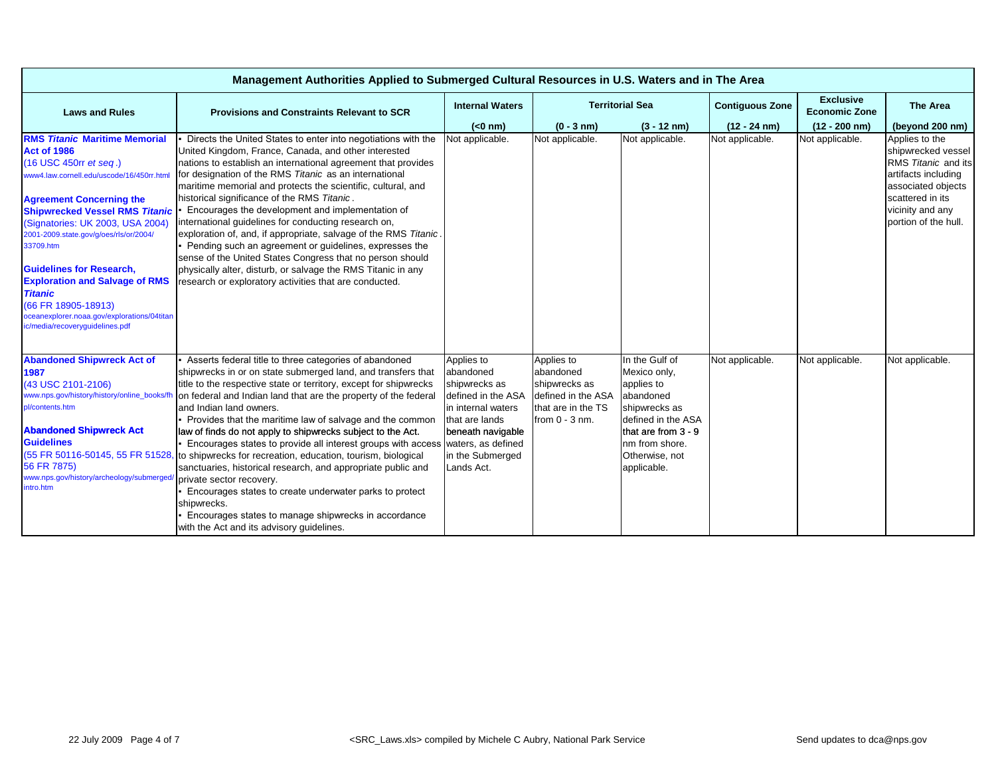| Management Authorities Applied to Submerged Cultural Resources in U.S. Waters and in The Area                                                                                                                                                                                                                                                                                                                                                                                                                   |                                                                                                                                                                                                                                                                                                                                                                                                                                                                                                                                                                                                                                                                                                                                                                                                                                   |                                                                                                                                                                                     |                                                                                                          |                                                                                                                                                                            |                        |                                          |                                                                                                                                                                          |  |  |  |
|-----------------------------------------------------------------------------------------------------------------------------------------------------------------------------------------------------------------------------------------------------------------------------------------------------------------------------------------------------------------------------------------------------------------------------------------------------------------------------------------------------------------|-----------------------------------------------------------------------------------------------------------------------------------------------------------------------------------------------------------------------------------------------------------------------------------------------------------------------------------------------------------------------------------------------------------------------------------------------------------------------------------------------------------------------------------------------------------------------------------------------------------------------------------------------------------------------------------------------------------------------------------------------------------------------------------------------------------------------------------|-------------------------------------------------------------------------------------------------------------------------------------------------------------------------------------|----------------------------------------------------------------------------------------------------------|----------------------------------------------------------------------------------------------------------------------------------------------------------------------------|------------------------|------------------------------------------|--------------------------------------------------------------------------------------------------------------------------------------------------------------------------|--|--|--|
| <b>Laws and Rules</b>                                                                                                                                                                                                                                                                                                                                                                                                                                                                                           | <b>Provisions and Constraints Relevant to SCR</b>                                                                                                                                                                                                                                                                                                                                                                                                                                                                                                                                                                                                                                                                                                                                                                                 | <b>Internal Waters</b>                                                                                                                                                              | <b>Territorial Sea</b>                                                                                   |                                                                                                                                                                            | <b>Contiguous Zone</b> | <b>Exclusive</b><br><b>Economic Zone</b> | The Area                                                                                                                                                                 |  |  |  |
|                                                                                                                                                                                                                                                                                                                                                                                                                                                                                                                 |                                                                                                                                                                                                                                                                                                                                                                                                                                                                                                                                                                                                                                                                                                                                                                                                                                   | $(0 \text{ nm})$                                                                                                                                                                    | $(0 - 3 nm)$                                                                                             | $(3 - 12 \text{ nm})$                                                                                                                                                      | $(12 - 24)$ nm)        | $(12 - 200)$ nm)                         | (beyond 200 nm)                                                                                                                                                          |  |  |  |
| <b>RMS Titanic Maritime Memorial</b><br><b>Act of 1986</b><br>(16 USC 450rr et seq.)<br>www4.law.cornell.edu/uscode/16/450rr.html<br><b>Agreement Concerning the</b><br><b>Shipwrecked Vessel RMS Titanic</b><br>(Signatories: UK 2003, USA 2004)<br>2001-2009.state.gov/g/oes/rls/or/2004/<br>33709.htm<br><b>Guidelines for Research,</b><br><b>Exploration and Salvage of RMS</b><br><b>Titanic</b><br>(66 FR 18905-18913)<br>oceanexplorer.noaa.gov/explorations/04titan<br>ic/media/recoveryguidelines.pdf | Directs the United States to enter into negotiations with the<br>United Kingdom, France, Canada, and other interested<br>nations to establish an international agreement that provides<br>for designation of the RMS Titanic as an international<br>maritime memorial and protects the scientific, cultural, and<br>historical significance of the RMS Titanic.<br>Encourages the development and implementation of<br>international guidelines for conducting research on,<br>exploration of, and, if appropriate, salvage of the RMS Titanic.<br>Pending such an agreement or guidelines, expresses the<br>sense of the United States Congress that no person should<br>physically alter, disturb, or salvage the RMS Titanic in any<br>research or exploratory activities that are conducted.                                  | Not applicable.                                                                                                                                                                     | Not applicable.                                                                                          | Not applicable.                                                                                                                                                            | Not applicable.        | Not applicable.                          | Applies to the<br>shipwrecked vessel<br>RMS Titanic and its<br>artifacts including<br>associated objects<br>scattered in its<br>vicinity and any<br>portion of the hull. |  |  |  |
| <b>Abandoned Shipwreck Act of</b><br>1987<br>(43 USC 2101-2106)<br>www.nps.gov/history/history/online_books/fh<br>pl/contents.htm<br><b>Abandoned Shipwreck Act</b><br><b>Guidelines</b><br>(55 FR 50116-50145, 55 FR 51528,<br>56 FR 7875)<br>www.nps.gov/history/archeology/submerged,<br>intro.htm                                                                                                                                                                                                           | Asserts federal title to three categories of abandoned<br>shipwrecks in or on state submerged land, and transfers that<br>title to the respective state or territory, except for shipwrecks<br>on federal and Indian land that are the property of the federal<br>and Indian land owners.<br>- Provides that the maritime law of salvage and the common<br>law of finds do not apply to shipwrecks subject to the Act.<br>Encourages states to provide all interest groups with access<br>to shipwrecks for recreation, education, tourism, biological<br>sanctuaries, historical research, and appropriate public and<br>private sector recovery.<br>Encourages states to create underwater parks to protect<br>shipwrecks.<br>Encourages states to manage shipwrecks in accordance<br>with the Act and its advisory guidelines. | Applies to<br>abandoned<br>shipwrecks as<br>defined in the ASA<br>in internal waters<br>that are lands<br>beneath navigable<br>waters, as defined<br>in the Submerged<br>Lands Act. | Applies to<br>abandoned<br>shipwrecks as<br>defined in the ASA<br>that are in the TS<br>from $0 - 3$ nm. | In the Gulf of<br>Mexico only,<br>applies to<br>abandoned<br>shipwrecks as<br>defined in the ASA<br>that are from 3 - 9<br>nm from shore.<br>Otherwise, not<br>applicable. | Not applicable.        | Not applicable.                          | Not applicable.                                                                                                                                                          |  |  |  |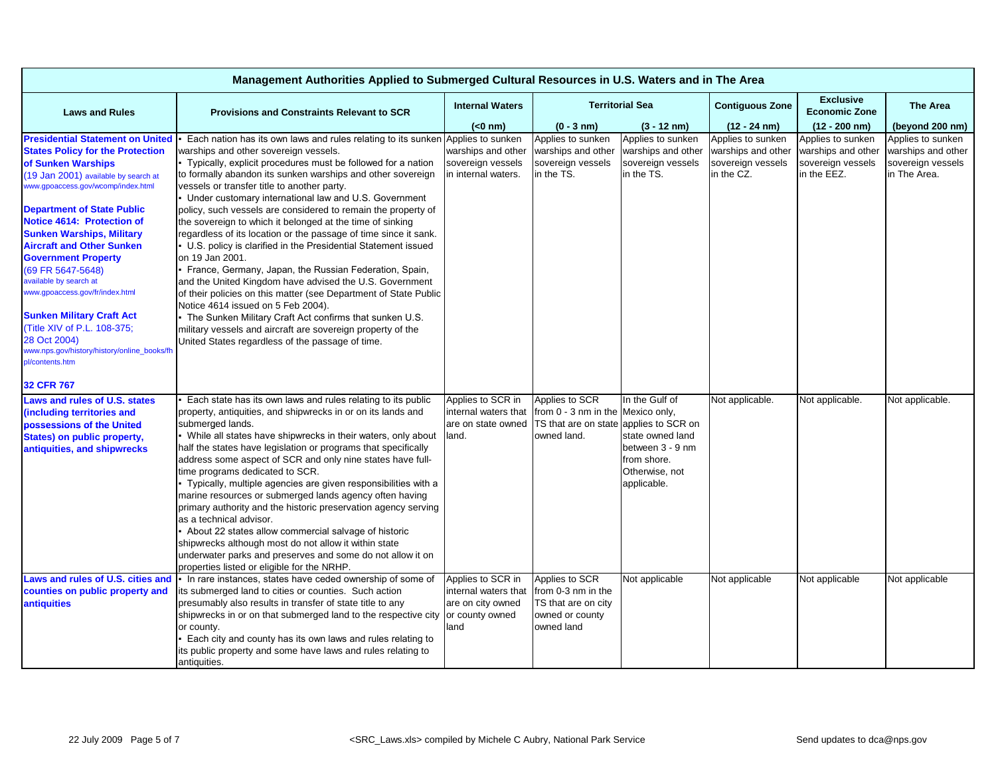| Management Authorities Applied to Submerged Cultural Resources in U.S. Waters and in The Area                                                                                                                                                                                                                                                                                                                                                                                                                                       |                                                                                                                                                                                                                                                                                                                                                                                                                                                                                                                                                                                                                                                                                                                                                                                                                                                                                                                                                                                                                                                                          |                                                                                           |                                                                                              |                                                                                                                             |                                                                            |                                                                             |                                                                              |  |  |
|-------------------------------------------------------------------------------------------------------------------------------------------------------------------------------------------------------------------------------------------------------------------------------------------------------------------------------------------------------------------------------------------------------------------------------------------------------------------------------------------------------------------------------------|--------------------------------------------------------------------------------------------------------------------------------------------------------------------------------------------------------------------------------------------------------------------------------------------------------------------------------------------------------------------------------------------------------------------------------------------------------------------------------------------------------------------------------------------------------------------------------------------------------------------------------------------------------------------------------------------------------------------------------------------------------------------------------------------------------------------------------------------------------------------------------------------------------------------------------------------------------------------------------------------------------------------------------------------------------------------------|-------------------------------------------------------------------------------------------|----------------------------------------------------------------------------------------------|-----------------------------------------------------------------------------------------------------------------------------|----------------------------------------------------------------------------|-----------------------------------------------------------------------------|------------------------------------------------------------------------------|--|--|
| <b>Laws and Rules</b>                                                                                                                                                                                                                                                                                                                                                                                                                                                                                                               | <b>Provisions and Constraints Relevant to SCR</b>                                                                                                                                                                                                                                                                                                                                                                                                                                                                                                                                                                                                                                                                                                                                                                                                                                                                                                                                                                                                                        | <b>Internal Waters</b>                                                                    |                                                                                              | <b>Territorial Sea</b>                                                                                                      | <b>Contiguous Zone</b>                                                     | <b>Exclusive</b><br><b>Economic Zone</b>                                    | <b>The Area</b>                                                              |  |  |
|                                                                                                                                                                                                                                                                                                                                                                                                                                                                                                                                     |                                                                                                                                                                                                                                                                                                                                                                                                                                                                                                                                                                                                                                                                                                                                                                                                                                                                                                                                                                                                                                                                          | $(0 \text{ nm})$                                                                          | $(0 - 3 nm)$                                                                                 | $(3 - 12 \text{ nm})$                                                                                                       | $(12 - 24)$ nm)                                                            | $(12 - 200)$ nm)                                                            | (beyond 200 nm)                                                              |  |  |
| <b>Presidential Statement on United</b><br><b>States Policy for the Protection</b><br>of Sunken Warships<br>(19 Jan 2001) available by search at<br>www.gpoaccess.gov/wcomp/index.html<br><b>Department of State Public</b><br>Notice 4614: Protection of<br><b>Sunken Warships, Military</b><br><b>Aircraft and Other Sunken</b><br><b>Government Property</b><br>(69 FR 5647-5648)<br>available by search at<br>www.gpoaccess.gov/fr/index.html<br><b>Sunken Military Craft Act</b><br>Title XIV of P.L. 108-375;<br>28 Oct 2004) | Each nation has its own laws and rules relating to its sunken Applies to sunken<br>warships and other sovereign vessels.<br>Typically, explicit procedures must be followed for a nation<br>to formally abandon its sunken warships and other sovereign<br>vessels or transfer title to another party.<br>Under customary international law and U.S. Government<br>policy, such vessels are considered to remain the property of<br>the sovereign to which it belonged at the time of sinking<br>regardless of its location or the passage of time since it sank.<br>• U.S. policy is clarified in the Presidential Statement issued<br>on 19 Jan 2001.<br>- France, Germany, Japan, the Russian Federation, Spain,<br>and the United Kingdom have advised the U.S. Government<br>of their policies on this matter (see Department of State Public<br>Notice 4614 issued on 5 Feb 2004).<br>- The Sunken Military Craft Act confirms that sunken U.S.<br>military vessels and aircraft are sovereign property of the<br>United States regardless of the passage of time. | warships and other<br>sovereign vessels<br>in internal waters.                            | Applies to sunken<br>warships and other<br>sovereign vessels<br>in the TS.                   | Applies to sunken<br>warships and other<br>sovereign vessels<br>in the TS.                                                  | Applies to sunken<br>warships and other<br>sovereign vessels<br>in the CZ. | Applies to sunken<br>warships and other<br>sovereign vessels<br>in the EEZ. | Applies to sunken<br>warships and other<br>sovereign vessels<br>in The Area. |  |  |
| www.nps.gov/history/history/online_books/fh<br>ol/contents.htm                                                                                                                                                                                                                                                                                                                                                                                                                                                                      |                                                                                                                                                                                                                                                                                                                                                                                                                                                                                                                                                                                                                                                                                                                                                                                                                                                                                                                                                                                                                                                                          |                                                                                           |                                                                                              |                                                                                                                             |                                                                            |                                                                             |                                                                              |  |  |
| 32 CFR 767                                                                                                                                                                                                                                                                                                                                                                                                                                                                                                                          |                                                                                                                                                                                                                                                                                                                                                                                                                                                                                                                                                                                                                                                                                                                                                                                                                                                                                                                                                                                                                                                                          |                                                                                           |                                                                                              |                                                                                                                             |                                                                            |                                                                             |                                                                              |  |  |
| Laws and rules of U.S. states<br>(including territories and<br>possessions of the United<br><b>States) on public property,</b><br>antiquities, and shipwrecks                                                                                                                                                                                                                                                                                                                                                                       | Each state has its own laws and rules relating to its public<br>property, antiquities, and shipwrecks in or on its lands and<br>submerged lands.<br>While all states have shipwrecks in their waters, only about<br>half the states have legislation or programs that specifically<br>address some aspect of SCR and only nine states have full-<br>time programs dedicated to SCR.<br>• Typically, multiple agencies are given responsibilities with a<br>marine resources or submerged lands agency often having<br>primary authority and the historic preservation agency serving<br>as a technical advisor.<br>- About 22 states allow commercial salvage of historic<br>shipwrecks although most do not allow it within state<br>underwater parks and preserves and some do not allow it on<br>properties listed or eligible for the NRHP.                                                                                                                                                                                                                          | Applies to SCR in<br>internal waters that<br>are on state owned<br>land.                  | Applies to SCR<br>from 0 - 3 nm in the Mexico only,<br>TS that are on state<br>owned land.   | In the Gulf of<br>applies to SCR on<br>state owned land<br>between 3 - 9 nm<br>from shore.<br>Otherwise, not<br>applicable. | Not applicable.                                                            | Not applicable.                                                             | Not applicable.                                                              |  |  |
| Laws and rules of U.S. cities and<br>counties on public property and<br><b>antiquities</b>                                                                                                                                                                                                                                                                                                                                                                                                                                          | In rare instances, states have ceded ownership of some of<br>its submerged land to cities or counties. Such action<br>presumably also results in transfer of state title to any<br>shipwrecks in or on that submerged land to the respective city<br>or county.<br>Each city and county has its own laws and rules relating to<br>its public property and some have laws and rules relating to<br>antiquities.                                                                                                                                                                                                                                                                                                                                                                                                                                                                                                                                                                                                                                                           | Applies to SCR in<br>internal waters that<br>are on city owned<br>or county owned<br>land | Applies to SCR<br>from 0-3 nm in the<br>TS that are on city<br>owned or county<br>owned land | Not applicable                                                                                                              | Not applicable                                                             | Not applicable                                                              | Not applicable                                                               |  |  |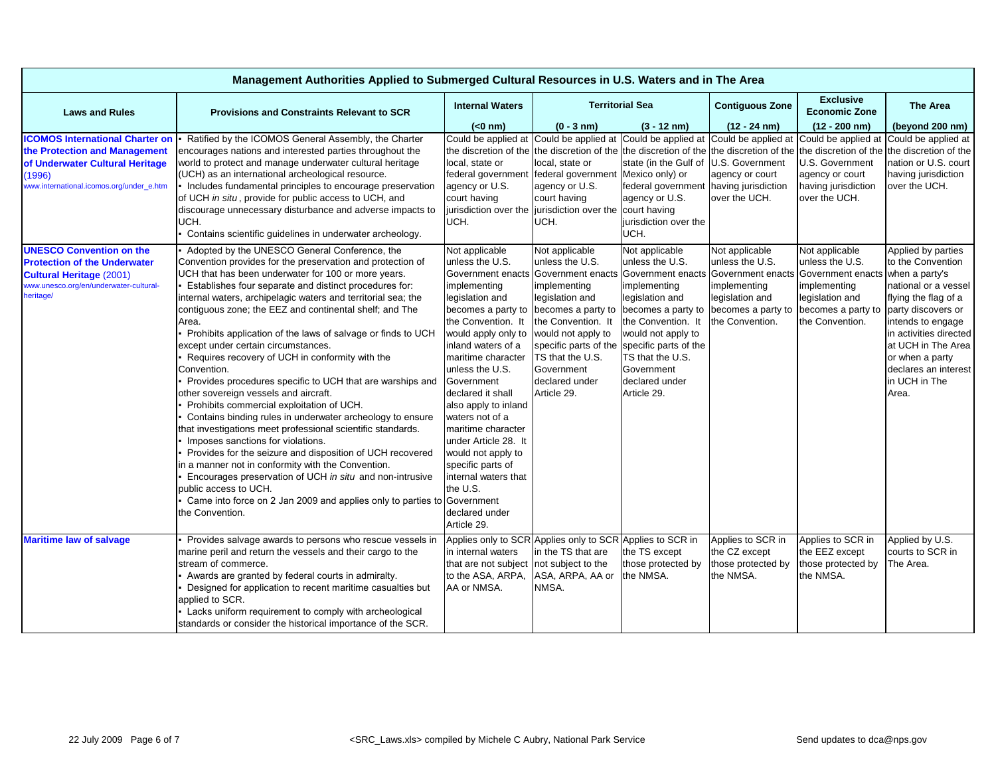| Management Authorities Applied to Submerged Cultural Resources in U.S. Waters and in The Area |                                                                                                                |                                         |                                                                                         |                       |                                        |                                          |                                             |  |  |
|-----------------------------------------------------------------------------------------------|----------------------------------------------------------------------------------------------------------------|-----------------------------------------|-----------------------------------------------------------------------------------------|-----------------------|----------------------------------------|------------------------------------------|---------------------------------------------|--|--|
| <b>Laws and Rules</b>                                                                         | <b>Provisions and Constraints Relevant to SCR</b>                                                              | <b>Internal Waters</b>                  | <b>Territorial Sea</b>                                                                  |                       | <b>Contiguous Zone</b>                 | <b>Exclusive</b><br><b>Economic Zone</b> | The Area                                    |  |  |
|                                                                                               |                                                                                                                | $(0 \text{ nm})$                        | $(0 - 3 nm)$                                                                            | $(3 - 12 nm)$         | $(12 - 24)$ nm)                        | $(12 - 200)$ nm)                         | (beyond 200 nm)                             |  |  |
| <b>ICOMOS International Charter on</b>                                                        | Ratified by the ICOMOS General Assembly, the Charter                                                           |                                         | Could be applied at Could be applied at Could be applied at Could be applied at         |                       |                                        |                                          | Could be applied at Could be applied at     |  |  |
| the Protection and Management                                                                 | encourages nations and interested parties throughout the                                                       |                                         | the discretion of the the discretion of the the discretion of the the discretion of the |                       |                                        |                                          | the discretion of the the discretion of the |  |  |
| of Underwater Cultural Heritage                                                               | world to protect and manage underwater cultural heritage                                                       | local, state or                         | local, state or<br>federal government Mexico only) or                                   | state (in the Gulf of | U.S. Government                        | U.S. Government                          | nation or U.S. court<br>having jurisdiction |  |  |
| (1996)<br>www.international.icomos.org/under_e.htm                                            | (UCH) as an international archeological resource.<br>Includes fundamental principles to encourage preservation | federal government<br>agency or U.S.    | agency or U.S.                                                                          | federal government    | agency or court<br>having jurisdiction | agency or court<br>having jurisdiction   | over the UCH.                               |  |  |
|                                                                                               | of UCH in situ, provide for public access to UCH, and                                                          | court having                            | court having                                                                            | agency or U.S.        | over the UCH.                          | over the UCH.                            |                                             |  |  |
|                                                                                               | discourage unnecessary disturbance and adverse impacts to                                                      | jurisdiction over the                   | jurisdiction over the                                                                   | court having          |                                        |                                          |                                             |  |  |
|                                                                                               | UCH.                                                                                                           | UCH.                                    | UCH.                                                                                    | jurisdiction over the |                                        |                                          |                                             |  |  |
|                                                                                               | Contains scientific guidelines in underwater archeology.                                                       |                                         |                                                                                         | UCH.                  |                                        |                                          |                                             |  |  |
| <b>UNESCO Convention on the</b>                                                               | Adopted by the UNESCO General Conference, the                                                                  | Not applicable                          | Not applicable                                                                          | Not applicable        | Not applicable                         | Not applicable                           | Applied by parties                          |  |  |
| <b>Protection of the Underwater</b>                                                           | Convention provides for the preservation and protection of                                                     | unless the U.S.                         | unless the U.S.                                                                         | unless the U.S.       | unless the U.S.                        | unless the U.S.                          | to the Convention                           |  |  |
| <b>Cultural Heritage (2001)</b>                                                               | UCH that has been underwater for 100 or more years.                                                            | Government enacts                       | Government enacts                                                                       | Government enacts     | Government enacts                      | Government enact                         | ts when a party's                           |  |  |
| www.unesco.org/en/underwater-cultural-                                                        | Establishes four separate and distinct procedures for:                                                         | implementing                            | implementing                                                                            | implementing          | implementing                           | implementing                             | national or a vessel                        |  |  |
| heritage/                                                                                     | internal waters, archipelagic waters and territorial sea; the                                                  | legislation and                         | legislation and                                                                         | legislation and       | legislation and                        | legislation and                          | flying the flag of a                        |  |  |
|                                                                                               | contiguous zone; the EEZ and continental shelf; and The                                                        | becomes a party to                      | becomes a party to                                                                      | becomes a party to    | becomes a party to                     | becomes a party to                       | party discovers or                          |  |  |
|                                                                                               | Area.                                                                                                          | the Convention. It                      | the Convention. It                                                                      | the Convention. It    | the Convention.                        | the Convention.                          | intends to engage                           |  |  |
|                                                                                               | Prohibits application of the laws of salvage or finds to UCH                                                   | would apply only to                     | would not apply to                                                                      | would not apply to    |                                        |                                          | in activities directed                      |  |  |
|                                                                                               | except under certain circumstances.                                                                            | inland waters of a                      | specific parts of the                                                                   | specific parts of the |                                        |                                          | at UCH in The Area                          |  |  |
|                                                                                               | Requires recovery of UCH in conformity with the                                                                | maritime character                      | TS that the U.S.                                                                        | TS that the U.S.      |                                        |                                          | or when a party                             |  |  |
|                                                                                               | Convention.                                                                                                    | unless the U.S.                         | Government                                                                              | Government            |                                        |                                          | declares an interest                        |  |  |
|                                                                                               | Provides procedures specific to UCH that are warships and                                                      | Government                              | declared under                                                                          | declared under        |                                        |                                          | in UCH in The                               |  |  |
|                                                                                               | other sovereign vessels and aircraft.                                                                          | declared it shall                       | Article 29.                                                                             | Article 29.           |                                        |                                          | Area.                                       |  |  |
|                                                                                               | Prohibits commercial exploitation of UCH.<br>Contains binding rules in underwater archeology to ensure         | also apply to inland<br>waters not of a |                                                                                         |                       |                                        |                                          |                                             |  |  |
|                                                                                               | that investigations meet professional scientific standards.                                                    | maritime character                      |                                                                                         |                       |                                        |                                          |                                             |  |  |
|                                                                                               | Imposes sanctions for violations.                                                                              | under Article 28. It                    |                                                                                         |                       |                                        |                                          |                                             |  |  |
|                                                                                               | Provides for the seizure and disposition of UCH recovered                                                      | would not apply to                      |                                                                                         |                       |                                        |                                          |                                             |  |  |
|                                                                                               | in a manner not in conformity with the Convention.                                                             | specific parts of                       |                                                                                         |                       |                                        |                                          |                                             |  |  |
|                                                                                               | Encourages preservation of UCH in situ and non-intrusive                                                       | internal waters that                    |                                                                                         |                       |                                        |                                          |                                             |  |  |
|                                                                                               | public access to UCH.                                                                                          | the U.S.                                |                                                                                         |                       |                                        |                                          |                                             |  |  |
|                                                                                               | Came into force on 2 Jan 2009 and applies only to parties to Government                                        |                                         |                                                                                         |                       |                                        |                                          |                                             |  |  |
|                                                                                               | the Convention.                                                                                                | declared under                          |                                                                                         |                       |                                        |                                          |                                             |  |  |
|                                                                                               |                                                                                                                | Article 29.                             |                                                                                         |                       |                                        |                                          |                                             |  |  |
| <b>Maritime law of salvage</b>                                                                | Provides salvage awards to persons who rescue vessels in                                                       |                                         | Applies only to SCR Applies only to SCR Applies to SCR in                               |                       | Applies to SCR in                      | Applies to SCR in                        | Applied by U.S.                             |  |  |
|                                                                                               | marine peril and return the vessels and their cargo to the                                                     | in internal waters                      | in the TS that are                                                                      | the TS except         | the CZ except                          | the EEZ except                           | courts to SCR in                            |  |  |
|                                                                                               | stream of commerce.                                                                                            | that are not subject                    | not subject to the                                                                      | those protected by    | those protected by                     | those protected by                       | The Area.                                   |  |  |
|                                                                                               | Awards are granted by federal courts in admiralty.                                                             | to the ASA, ARPA,                       | ASA, ARPA, AA or                                                                        | the NMSA.             | the NMSA.                              | the NMSA.                                |                                             |  |  |
|                                                                                               | Designed for application to recent maritime casualties but                                                     | AA or NMSA.                             | NMSA.                                                                                   |                       |                                        |                                          |                                             |  |  |
|                                                                                               | applied to SCR.                                                                                                |                                         |                                                                                         |                       |                                        |                                          |                                             |  |  |
|                                                                                               | Lacks uniform requirement to comply with archeological                                                         |                                         |                                                                                         |                       |                                        |                                          |                                             |  |  |
|                                                                                               | standards or consider the historical importance of the SCR.                                                    |                                         |                                                                                         |                       |                                        |                                          |                                             |  |  |